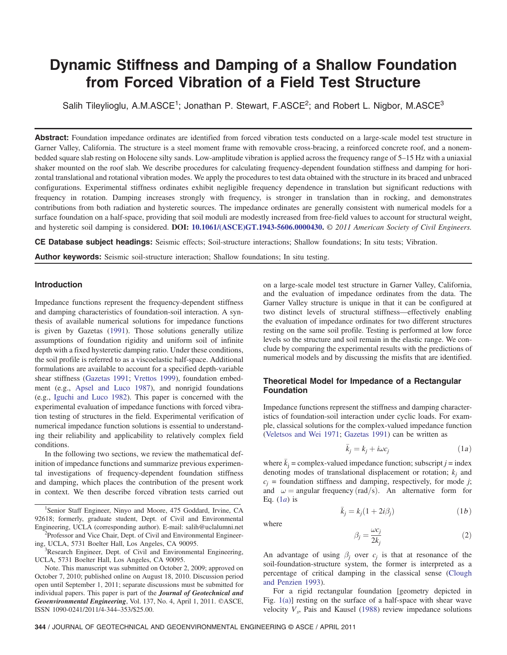# Dynamic Stiffness and Damping of a Shallow Foundation from Forced Vibration of a Field Test Structure

Salih Tileylioglu, A.M.ASCE<sup>1</sup>; Jonathan P. Stewart, F.ASCE<sup>2</sup>; and Robert L. Nigbor, M.ASCE<sup>3</sup>

Abstract: Foundation impedance ordinates are identified from forced vibration tests conducted on a large-scale model test structure in Garner Valley, California. The structure is a steel moment frame with removable cross-bracing, a reinforced concrete roof, and a nonembedded square slab resting on Holocene silty sands. Low-amplitude vibration is applied across the frequency range of 5–15 Hz with a uniaxial shaker mounted on the roof slab. We describe procedures for calculating frequency-dependent foundation stiffness and damping for horizontal translational and rotational vibration modes. We apply the procedures to test data obtained with the structure in its braced and unbraced configurations. Experimental stiffness ordinates exhibit negligible frequency dependence in translation but significant reductions with frequency in rotation. Damping increases strongly with frequency, is stronger in translation than in rocking, and demonstrates contributions from both radiation and hysteretic sources. The impedance ordinates are generally consistent with numerical models for a surface foundation on a half-space, providing that soil moduli are modestly increased from free-field values to account for structural weight, and hysteretic soil damping is considered. DOI: [10.1061/\(ASCE\)GT.1943-5606.0000430](http://dx.doi.org/10.1061/(ASCE)GT.1943-5606.0000430). © 2011 American Society of Civil Engineers.

CE Database subject headings: Seismic effects; Soil-structure interactions; Shallow foundations; In situ tests; Vibration.

**Author keywords:** Seismic soil-structure interaction; Shallow foundations; In situ testing.

## Introduction

Impedance functions represent the frequency-dependent stiffness and damping characteristics of foundation-soil interaction. A synthesis of available numerical solutions for impedance functions is given by Gazetas ([1991\)](#page-9-0). Those solutions generally utilize assumptions of foundation rigidity and uniform soil of infinite depth with a fixed hysteretic damping ratio. Under these conditions, the soil profile is referred to as a viscoelastic half-space. Additional formulations are available to account for a specified depth-variable shear stiffness [\(Gazetas 1991;](#page-9-0) [Vrettos 1999](#page-9-1)), foundation embedment (e.g., [Apsel and Luco 1987\)](#page-8-0), and nonrigid foundations (e.g., [Iguchi and Luco 1982](#page-9-2)). This paper is concerned with the experimental evaluation of impedance functions with forced vibration testing of structures in the field. Experimental verification of numerical impedance function solutions is essential to understanding their reliability and applicability to relatively complex field conditions.

In the following two sections, we review the mathematical definition of impedance functions and summarize previous experimental investigations of frequency-dependent foundation stiffness and damping, which places the contribution of the present work in context. We then describe forced vibration tests carried out

<sup>1</sup>Senior Staff Engineer, Ninyo and Moore, 475 Goddard, Irvine, CA 92618; formerly, graduate student, Dept. of Civil and Environmental Engineering, UCLA (corresponding author). E-mail: salih@uclalumni.net <sup>2</sup> <sup>2</sup>Professor and Vice Chair, Dept. of Civil and Environmental Engineer-

ing, UCLA, 5731 Boelter Hall, Los Angeles, CA 90095.

<sup>3</sup>Research Engineer, Dept. of Civil and Environmental Engineering, UCLA, 5731 Boelter Hall, Los Angeles, CA 90095.

Note. This manuscript was submitted on October 2, 2009; approved on October 7, 2010; published online on August 18, 2010. Discussion period open until September 1, 2011; separate discussions must be submitted for individual papers. This paper is part of the Journal of Geotechnical and Geoenvironmental Engineering, Vol. 137, No. 4, April 1, 2011. ©ASCE, ISSN 1090-0241/2011/4-344–353/\$25.00.

on a large-scale model test structure in Garner Valley, California, and the evaluation of impedance ordinates from the data. The Garner Valley structure is unique in that it can be configured at two distinct levels of structural stiffness—effectively enabling the evaluation of impedance ordinates for two different structures resting on the same soil profile. Testing is performed at low force levels so the structure and soil remain in the elastic range. We conclude by comparing the experimental results with the predictions of numerical models and by discussing the misfits that are identified.

# Theoretical Model for Impedance of a Rectangular Foundation

Impedance functions represent the stiffness and damping characteristics of foundation-soil interaction under cyclic loads. For example, classical solutions for the complex-valued impedance function [\(Veletsos and Wei 1971](#page-9-3); [Gazetas 1991](#page-9-0)) can be written as

$$
\bar{k}_j = k_j + i\omega c_j \tag{1a}
$$

<span id="page-0-0"></span>where  $\bar{k}_i$  = complex-valued impedance function; subscript j = index denoting modes of translational displacement or rotation;  $k_i$  and  $c_j$  = foundation stiffness and damping, respectively, for mode j; and  $\omega$  = angular frequency (rad/s). An alternative form for Eq.  $(1a)$  $(1a)$  is

$$
\bar{k}_j = k_j (1 + 2i\beta_j) \tag{1b}
$$

<span id="page-0-1"></span>where

$$
\beta_j = \frac{\omega c_j}{2k_j} \tag{2}
$$

An advantage of using  $\beta_i$  over  $c_i$  is that at resonance of the soil-foundation-structure system, the former is interpreted as a percentage of critical damping in the classical sense [\(Clough](#page-8-1) [and Penzien 1993](#page-8-1)).

For a rigid rectangular foundation [geometry depicted in Fig. [1\(a\)\]](#page-1-0) resting on the surface of a half-space with shear wave velocity  $V_s$ , Pais and Kausel ([1988\)](#page-9-4) review impedance solutions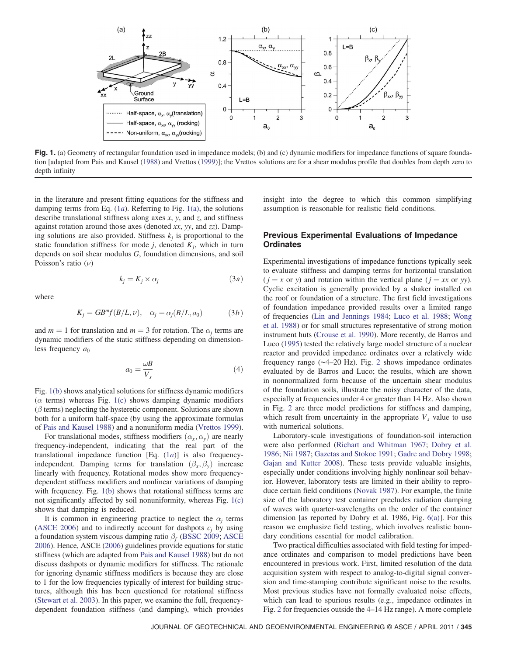<span id="page-1-0"></span>

Fig. 1. (a) Geometry of rectangular foundation used in impedance models; (b) and (c) dynamic modifiers for impedance functions of square foundation [adapted from Pais and Kausel ([1988\)](#page-9-4) and Vrettos [\(1999](#page-9-1))]; the Vrettos solutions are for a shear modulus profile that doubles from depth zero to depth infinity

in the literature and present fitting equations for the stiffness and damping terms from Eq.  $(1a)$  $(1a)$ . Referring to Fig.  $1(a)$ , the solutions describe translational stiffness along axes  $x$ ,  $y$ , and  $z$ , and stiffness against rotation around those axes (denoted xx, yy, and  $zz$ ). Damping solutions are also provided. Stiffness  $k_j$  is proportional to the static foundation stiffness for mode j, denoted  $K_i$ , which in turn depends on soil shear modulus G, foundation dimensions, and soil Poisson's ratio  $(\nu)$ 

$$
k_j = K_j \times \alpha_j \tag{3a}
$$

<span id="page-1-2"></span><span id="page-1-1"></span>where

$$
K_j = GB^{m}f(B/L, \nu), \quad \alpha_j = \alpha_j(B/L, a_0) \tag{3b}
$$

and  $m = 1$  for translation and  $m = 3$  for rotation. The  $\alpha_i$  terms are dynamic modifiers of the static stiffness depending on dimensionless frequency  $a_0$ 

$$
a_0 = \frac{\omega B}{V_s} \tag{4}
$$

<span id="page-1-3"></span>Fig. [1\(b\)](#page-1-0) shows analytical solutions for stiffness dynamic modifiers ( $\alpha$  terms) whereas Fig. [1\(c\)](#page-1-0) shows damping dynamic modifiers  $(\beta$  terms) neglecting the hysteretic component. Solutions are shown both for a uniform half-space (by using the approximate formulas of [Pais and Kausel 1988\)](#page-9-4) and a nonuniform media [\(Vrettos 1999\)](#page-9-1).

For translational modes, stiffness modifiers  $(\alpha_x, \alpha_y)$  are nearly frequency-independent, indicating that the real part of the translational impedance function [Eq. (1[a](#page-0-0))] is also frequencyindependent. Damping terms for translation  $(\beta_x, \beta_y)$  increase linearly with frequency. Rotational modes show more frequencydependent stiffness modifiers and nonlinear variations of damping with frequency. Fig. [1\(b\)](#page-1-0) shows that rotational stiffness terms are not significantly affected by soil nonuniformity, whereas Fig. [1\(c\)](#page-1-0) shows that damping is reduced.

It is common in engineering practice to neglect the  $\alpha_i$  terms [\(ASCE 2006\)](#page-8-2) and to indirectly account for dashpots  $c_i$  by using a foundation system viscous damping ratio  $\beta_f$  [\(BSSC 2009;](#page-8-3) [ASCE](#page-8-2) [2006](#page-8-2)). Hence, ASCE ([2006\)](#page-8-2) guidelines provide equations for static stiffness (which are adapted from [Pais and Kausel 1988\)](#page-9-4) but do not discuss dashpots or dynamic modifiers for stiffness. The rationale for ignoring dynamic stiffness modifiers is because they are close to 1 for the low frequencies typically of interest for building structures, although this has been questioned for rotational stiffness [\(Stewart et al. 2003](#page-9-5)). In this paper, we examine the full, frequencydependent foundation stiffness (and damping), which provides

insight into the degree to which this common simplifying assumption is reasonable for realistic field conditions.

## Previous Experimental Evaluations of Impedance **Ordinates**

Experimental investigations of impedance functions typically seek to evaluate stiffness and damping terms for horizontal translation  $(j = x \text{ or } y)$  and rotation within the vertical plane  $(j = xx \text{ or } yy)$ . Cyclic excitation is generally provided by a shaker installed on the roof or foundation of a structure. The first field investigations of foundation impedance provided results over a limited range of frequencies [\(Lin and Jennings 1984](#page-9-6); [Luco et al. 1988](#page-9-7); [Wong](#page-9-8) [et al. 1988\)](#page-9-8) or for small structures representative of strong motion instrument huts [\(Crouse et al. 1990\)](#page-8-4). More recently, de Barros and Luco ([1995\)](#page-8-5) tested the relatively large model structure of a nuclear reactor and provided impedance ordinates over a relatively wide frequency range (∼4–20 Hz). Fig. [2](#page-2-0) shows impedance ordinates evaluated by de Barros and Luco; the results, which are shown in nonnormalized form because of the uncertain shear modulus of the foundation soils, illustrate the noisy character of the data, especially at frequencies under 4 or greater than 14 Hz. Also shown in Fig. [2](#page-2-0) are three model predictions for stiffness and damping, which result from uncertainty in the appropriate  $V<sub>s</sub>$  value to use with numerical solutions.

Laboratory-scale investigations of foundation-soil interaction were also performed [\(Richart and Whitman 1967;](#page-9-9) [Dobry et al.](#page-8-6) [1986](#page-8-6); [Nii 1987](#page-9-10); [Gazetas and Stokoe 1991;](#page-9-0) [Gadre and Dobry 1998](#page-8-7); [Gajan and Kutter 2008\)](#page-8-8). These tests provide valuable insights, especially under conditions involving highly nonlinear soil behavior. However, laboratory tests are limited in their ability to reproduce certain field conditions [\(Novak 1987\)](#page-9-11). For example, the finite size of the laboratory test container precludes radiation damping of waves with quarter-wavelengths on the order of the container dimension [as reported by Dobry et al. 1986, Fig. [6\(a\)](#page-5-0)]. For this reason we emphasize field testing, which involves realistic boundary conditions essential for model calibration.

Two practical difficulties associated with field testing for impedance ordinates and comparison to model predictions have been encountered in previous work. First, limited resolution of the data acquisition system with respect to analog-to-digital signal conversion and time-stamping contribute significant noise to the results. Most previous studies have not formally evaluated noise effects, which can lead to spurious results (e.g., impedance ordinates in Fig. [2](#page-2-0) for frequencies outside the 4–14 Hz range). A more complete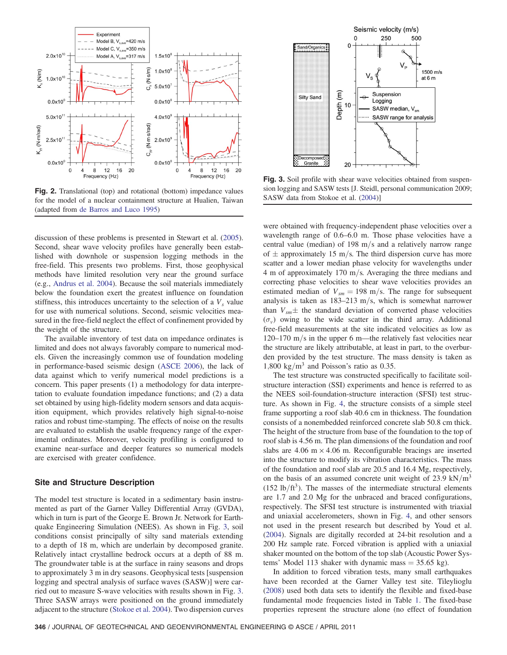<span id="page-2-0"></span>

Fig. 2. Translational (top) and rotational (bottom) impedance values som logging and SASW tests [J. Steld], [<br>For the model of a nuclear containment structure at Hualien Taiwan SASW data from Stokoe et al. [\(2004\)](#page-9-13)] for the model of a nuclear containment structure at Hualien, Taiwan (adapted from [de Barros and Luco 1995](#page-8-5))

discussion of these problems is presented in Stewart et al. ([2005\)](#page-9-12). Second, shear wave velocity profiles have generally been established with downhole or suspension logging methods in the free-field. This presents two problems. First, those geophysical methods have limited resolution very near the ground surface (e.g., [Andrus et al. 2004\)](#page-8-9). Because the soil materials immediately below the foundation exert the greatest influence on foundation stiffness, this introduces uncertainty to the selection of a  $V<sub>s</sub>$  value for use with numerical solutions. Second, seismic velocities measured in the free-field neglect the effect of confinement provided by the weight of the structure.

The available inventory of test data on impedance ordinates is limited and does not always favorably compare to numerical models. Given the increasingly common use of foundation modeling in performance-based seismic design ([ASCE 2006](#page-8-2)), the lack of data against which to verify numerical model predictions is a concern. This paper presents (1) a methodology for data interpretation to evaluate foundation impedance functions; and (2) a data set obtained by using high-fidelity modern sensors and data acquisition equipment, which provides relatively high signal-to-noise ratios and robust time-stamping. The effects of noise on the results are evaluated to establish the usable frequency range of the experimental ordinates. Moreover, velocity profiling is configured to examine near-surface and deeper features so numerical models are exercised with greater confidence.

## Site and Structure Description

The model test structure is located in a sedimentary basin instrumented as part of the Garner Valley Differential Array (GVDA), which in turn is part of the George E. Brown Jr. Network for Earthquake Engineering Simulation (NEES). As shown in Fig. [3,](#page-2-1) soil conditions consist principally of silty sand materials extending to a depth of 18 m, which are underlain by decomposed granite. Relatively intact crystalline bedrock occurs at a depth of 88 m. The groundwater table is at the surface in rainy seasons and drops to approximately 3 m in dry seasons. Geophysical tests [suspension logging and spectral analysis of surface waves (SASW)] were carried out to measure S-wave velocities with results shown in Fig. [3.](#page-2-1) Three SASW arrays were positioned on the ground immediately adjacent to the structure ([Stokoe et al. 2004\)](#page-9-13). Two dispersion curves

<span id="page-2-1"></span>

**Fig. 3.** Soil profile with shear wave velocities obtained from suspension logging and SASW tests [J. Steidl, personal communication 2009;

were obtained with frequency-independent phase velocities over a wavelength range of 0.6–6.0 m. Those phase velocities have a central value (median) of 198 m/s and a relatively narrow range of  $\pm$  approximately 15 m/s. The third dispersion curve has more scatter and a lower median phase velocity for wavelengths under 4 m of approximately 170 m/s. Averaging the three medians and correcting phase velocities to shear wave velocities provides an estimated median of  $V_{\text{sm}} = 198$  m/s. The range for subsequent analysis is taken as  $183-213$  m/s, which is somewhat narrower than  $V_{\text{sm}}\pm$  the standard deviation of converted phase velocities  $(\sigma_v)$  owing to the wide scatter in the third array. Additional free-field measurements at the site indicated velocities as low as  $120-170$  m/s in the upper 6 m—the relatively fast velocities near the structure are likely attributable, at least in part, to the overburden provided by the test structure. The mass density is taken as 1,800 kg/ $\rm m^3$  and Poisson's ratio as 0.35.

The test structure was constructed specifically to facilitate soilstructure interaction (SSI) experiments and hence is referred to as the NEES soil-foundation-structure interaction (SFSI) test structure. As shown in Fig. [4,](#page-3-0) the structure consists of a simple steel frame supporting a roof slab 40.6 cm in thickness. The foundation consists of a nonembedded reinforced concrete slab 50.8 cm thick. The height of the structure from base of the foundation to the top of roof slab is 4.56 m. The plan dimensions of the foundation and roof slabs are  $4.06 \text{ m} \times 4.06 \text{ m}$ . Reconfigurable bracings are inserted into the structure to modify its vibration characteristics. The mass of the foundation and roof slab are 20.5 and 16.4 Mg, respectively, on the basis of an assumed concrete unit weight of 23.9 kN/m<sup>3</sup>  $(152 \text{ lb/ft}^3)$ . The masses of the intermediate structural elements are 1.7 and 2.0 Mg for the unbraced and braced configurations, respectively. The SFSI test structure is instrumented with triaxial and uniaxial accelerometers, shown in Fig. [4](#page-3-0), and other sensors not used in the present research but described by Youd et al. [\(2004](#page-9-14)). Signals are digitally recorded at 24-bit resolution and a 200 Hz sample rate. Forced vibration is applied with a uniaxial shaker mounted on the bottom of the top slab (Acoustic Power Systems' Model 113 shaker with dynamic mass  $=$  35.65 kg).

In addition to forced vibration tests, many small earthquakes have been recorded at the Garner Valley test site. Tileylioglu [\(2008](#page-9-15)) used both data sets to identify the flexible and fixed-base fundamental mode frequencies listed in Table [1](#page-3-1). The fixed-base properties represent the structure alone (no effect of foundation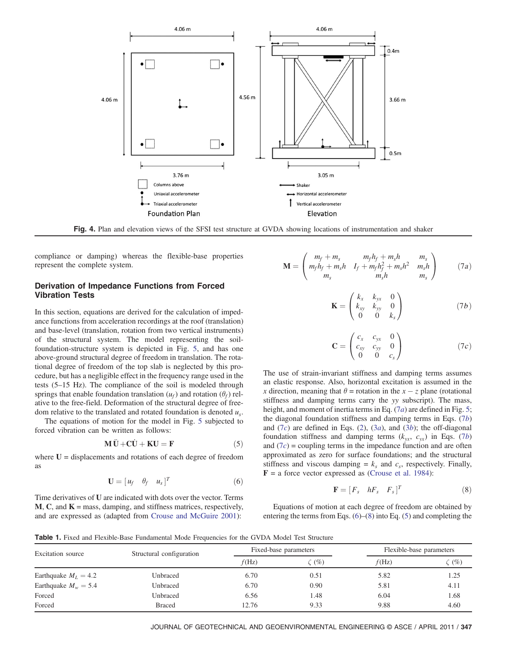<span id="page-3-0"></span>

Fig. 4. Plan and elevation views of the SFSI test structure at GVDA showing locations of instrumentation and shaker

compliance or damping) whereas the flexible-base properties represent the complete system.

# Derivation of Impedance Functions from Forced Vibration Tests

In this section, equations are derived for the calculation of impedance functions from acceleration recordings at the roof (translation) and base-level (translation, rotation from two vertical instruments) of the structural system. The model representing the soilfoundation-structure system is depicted in Fig. [5,](#page-4-0) and has one above-ground structural degree of freedom in translation. The rotational degree of freedom of the top slab is neglected by this procedure, but has a negligible effect in the frequency range used in the tests (5–15 Hz). The compliance of the soil is modeled through springs that enable foundation translation  $(u_f)$  and rotation  $(\theta_f)$  relative to the free-field. Deformation of the structural degree of freedom relative to the translated and rotated foundation is denoted  $u<sub>s</sub>$ .

The equations of motion for the model in Fig. [5](#page-4-0) subjected to forced vibration can be written as follows:

$$
\mathbf{M}\ddot{\mathbf{U}} + \mathbf{C}\dot{\mathbf{U}} + \mathbf{K}\mathbf{U} = \mathbf{F} \tag{5}
$$

<span id="page-3-6"></span>where  $U =$  displacements and rotations of each degree of freedom as

$$
\mathbf{U} = [u_f \quad \theta_f \quad u_s]^T \tag{6}
$$

<span id="page-3-4"></span>Time derivatives of U are indicated with dots over the vector. Terms  $M, C$ , and  $K =$  mass, damping, and stiffness matrices, respectively, and are expressed as (adapted from [Crouse and McGuire 2001](#page-8-10)):

<span id="page-3-3"></span><span id="page-3-2"></span>
$$
\mathbf{M} = \begin{pmatrix} m_f + m_s & m_f h_f + m_s h & m_s \\ m_f h_f + m_s h & I_f + m_f h_f^2 + m_s h^2 & m_s h \\ m_s & m_s h & m_s \end{pmatrix}
$$
 (7a)

$$
\mathbf{K} = \begin{pmatrix} k_x & k_{yx} & 0 \\ k_{xy} & k_{yy} & 0 \\ 0 & 0 & k_s \end{pmatrix} \tag{7b}
$$

$$
\mathbf{C} = \begin{pmatrix} c_x & c_{yx} & 0 \\ c_{xy} & c_{yy} & 0 \\ 0 & 0 & c_s \end{pmatrix}
$$
 (7c)

The use of strain-invariant stiffness and damping terms assumes an elastic response. Also, horizontal excitation is assumed in the x direction, meaning that  $\theta$  = rotation in the x – z plane (rotational stiffness and damping terms carry the yy subscript). The mass, height, and moment of inertia terms in Eq.  $(7a)$  $(7a)$  are defined in Fig. [5](#page-4-0); the diagonal foundation stiffness and damping terms in Eqs.  $(7b)$  $(7b)$ and  $(7c)$  $(7c)$  are defined in Eqs.  $(2)$  $(2)$ ,  $(3a)$  $(3a)$ , and  $(3b)$  $(3b)$  $(3b)$ ; the off-diagonal foundation stiffness and damping terms  $(k_{yx}, c_{yx})$  in Eqs. [\(7](#page-3-2)b) and  $(7c)$  $(7c)$  = coupling terms in the impedance function and are often approximated as zero for surface foundations; and the structural stiffness and viscous damping =  $k<sub>s</sub>$  and  $c<sub>s</sub>$ , respectively. Finally,  $$ 

$$
\mathbf{F} = [F_s \quad hF_s \quad F_s]^T \tag{8}
$$

<span id="page-3-5"></span>Equations of motion at each degree of freedom are obtained by entering the terms from Eqs. ([6\)](#page-3-4)–[\(8](#page-3-5)) into Eq. ([5\)](#page-3-6) and completing the

<span id="page-3-1"></span>Table 1. Fixed and Flexible-Base Fundamental Mode Frequencies for the GVDA Model Test Structure

| <b>Excitation</b> source | Structural configuration | Fixed-base parameters |        | Flexible-base parameters |        |
|--------------------------|--------------------------|-----------------------|--------|--------------------------|--------|
|                          |                          | f(Hz)                 | $(\%)$ | f(Hz)                    | $(\%)$ |
| Earthquake $M_L = 4.2$   | Unbraced                 | 6.70                  | 0.51   | 5.82                     | 1.25   |
| Earthquake $M_w = 5.4$   | Unbraced                 | 6.70                  | 0.90   | 5.81                     | 4.11   |
| Forced                   | Unbraced                 | 6.56                  | 1.48   | 6.04                     | 1.68   |
| Forced                   | <b>Braced</b>            | 12.76                 | 9.33   | 9.88                     | 4.60   |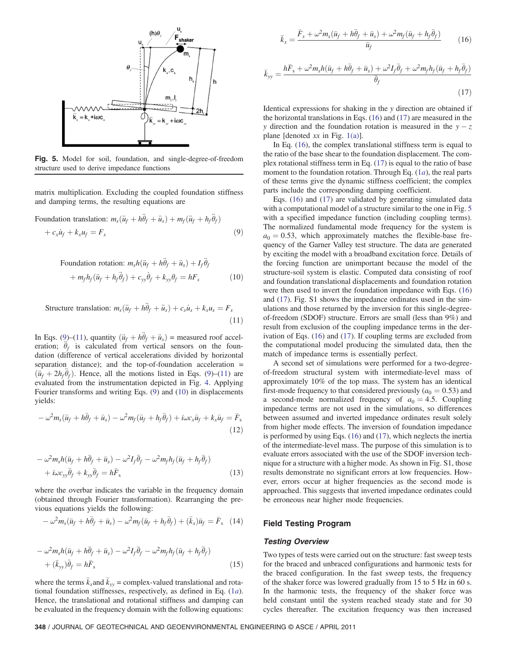<span id="page-4-0"></span>

Fig. 5. Model for soil, foundation, and single-degree-of-freedom structure used to derive impedance functions

<span id="page-4-1"></span>matrix multiplication. Excluding the coupled foundation stiffness and damping terms, the resulting equations are

<span id="page-4-3"></span>Foundation translation:  $m_s(\ddot{u}_f + h\ddot{\theta}_f + \ddot{u}_s) + m_f(\ddot{u}_f + h_f\ddot{\theta}_f)$ 

$$
+ c_x \dot{u}_f + k_x u_f = F_s \tag{9}
$$

<span id="page-4-2"></span>
$$
\text{Foundation rotation: } m_s h(\ddot{u}_f + h\ddot{\theta}_f + \ddot{u}_s) + I_f \ddot{\theta}_f
$$
\n
$$
+ m_f h_f(\ddot{u}_f + h_f \ddot{\theta}_f) + c_{yy} \dot{\theta}_f + k_{yy} \theta_f = hF_s \tag{10}
$$

Structure translation: 
$$
m_s(\ddot{u}_f + h\ddot{\theta}_f + \ddot{u}_s) + c_s\dot{u}_s + k_s u_s = F_s
$$
 (11)

In Eqs. ([9](#page-4-1))–[\(11\)](#page-4-2), quantity  $(\ddot{u}_f + h\ddot{\theta}_f + \ddot{u}_s)$  = measured roof acceleration;  $\ddot{\theta}_f$  is calculated from vertical sensors on the foundation (difference of vertical accelerations divided by horizontal separation distance); and the top-of-foundation acceleration =  $(\ddot{u}_f + 2h_f \dot{\theta}_f)$ . Hence, all the motions listed in Eqs. [\(9\)](#page-4-1)–([11](#page-4-2)) are evaluated from the instrumentation depicted in Fig. [4](#page-3-0). Applying Fourier transforms and writing Eqs. ([9](#page-4-1)) and ([10\)](#page-4-3) in displacements yields:

$$
-\omega^2 m_s (\bar{u}_f + h\bar{\theta}_f + \bar{u}_s) - \omega^2 m_f (\bar{u}_f + h_f \bar{\theta}_f) + i\omega c_x \bar{u}_f + k_x \bar{u}_f = \bar{F}_s
$$
\n(12)

$$
-\omega^2 m_s h(\bar{u}_f + h\bar{\theta}_f + \bar{u}_s) - \omega^2 I_f \bar{\theta}_f - \omega^2 m_f h_f (\bar{u}_f + h_f \bar{\theta}_f) + i\omega c_{yy} \bar{\theta}_f + k_{yy} \bar{\theta}_f = h\bar{F}_s
$$
\n(13)

where the overbar indicates the variable in the frequency domain (obtained through Fourier transformation). Rearranging the previous equations yields the following:

$$
-\omega^2 m_s(\bar{u}_f + h\bar{\theta}_f + \bar{u}_s) - \omega^2 m_f(\bar{u}_f + h_f\bar{\theta}_f) + (\bar{k}_x)\bar{u}_f = \bar{F}_s
$$
 (14)

$$
-\omega^2 m_s h(\bar{u}_f + h\bar{\theta}_f + \bar{u}_s) - \omega^2 I_f \bar{\theta}_f - \omega^2 m_f h_f(\bar{u}_f + h_f \bar{\theta}_f) + (\bar{k}_{yy}) \bar{\theta}_f = h\bar{F}_s
$$
\n(15)

<span id="page-4-4"></span>where the terms  $k_x$  and  $k_y$  = complex-valued translational and rotational foundation stiffnesses, respectively, as defined in Eq.  $(1a)$  $(1a)$ . Hence, the translational and rotational stiffness and damping can be evaluated in the frequency domain with the following equations:

<span id="page-4-5"></span>
$$
\bar{k}_x = \frac{\bar{F}_s + \omega^2 m_s (\bar{u}_f + h\bar{\theta}_f + \bar{u}_s) + \omega^2 m_f (\bar{u}_f + h_f \bar{\theta}_f)}{\bar{u}_f} \tag{16}
$$

$$
\bar{k}_{yy} = \frac{h\bar{F}_s + \omega^2 m_s h(\bar{u}_f + h\bar{\theta}_f + \bar{u}_s) + \omega^2 I_f \bar{\theta}_f + \omega^2 m_f h_f(\bar{u}_f + h_f \bar{\theta}_f)}{\bar{\theta}_f}
$$
\n(17)

Identical expressions for shaking in the y direction are obtained if the horizontal translations in Eqs. ([16](#page-4-4)) and [\(17\)](#page-4-5) are measured in the y direction and the foundation rotation is measured in the  $y - z$ plane [denoted  $xx$  in Fig. [1\(a\)\]](#page-1-0).

In Eq. ([16](#page-4-4)), the complex translational stiffness term is equal to the ratio of the base shear to the foundation displacement. The complex rotational stiffness term in Eq. ([17](#page-4-5)) is equal to the ratio of base moment to the found[a](#page-0-0)tion rotation. Through Eq.  $(1a)$ , the real parts of these terms give the dynamic stiffness coefficient; the complex parts include the corresponding damping coefficient.

Eqs. [\(16\)](#page-4-4) and [\(17](#page-4-5)) are validated by generating simulated data with a computational model of a structure similar to the one in Fig. [5](#page-4-0) with a specified impedance function (including coupling terms). The normalized fundamental mode frequency for the system is  $a_0 = 0.53$ , which approximately matches the flexible-base frequency of the Garner Valley test structure. The data are generated by exciting the model with a broadband excitation force. Details of the forcing function are unimportant because the model of the structure-soil system is elastic. Computed data consisting of roof and foundation translational displacements and foundation rotation were then used to invert the foundation impedance with Eqs. [\(16\)](#page-4-4) and ([17](#page-4-5)). Fig. S1 shows the impedance ordinates used in the simulations and those returned by the inversion for this single-degreeof-freedom (SDOF) structure. Errors are small (less than 9%) and result from exclusion of the coupling impedance terms in the derivation of Eqs. ([16](#page-4-4)) and ([17](#page-4-5)). If coupling terms are excluded from the computational model producing the simulated data, then the match of impedance terms is essentially perfect.

A second set of simulations were performed for a two-degreeof-freedom structural system with intermediate-level mass of approximately 10% of the top mass. The system has an identical first-mode frequency to that considered previously ( $a_0 = 0.53$ ) and a second-mode normalized frequency of  $a_0 = 4.5$ . Coupling impedance terms are not used in the simulations, so differences between assumed and inverted impedance ordinates result solely from higher mode effects. The inversion of foundation impedance is performed by using Eqs. ([16](#page-4-4)) and [\(17\)](#page-4-5), which neglects the inertia of the intermediate-level mass. The purpose of this simulation is to evaluate errors associated with the use of the SDOF inversion technique for a structure with a higher mode. As shown in Fig. S1, those results demonstrate no significant errors at low frequencies. However, errors occur at higher frequencies as the second mode is approached. This suggests that inverted impedance ordinates could be erroneous near higher mode frequencies.

## Field Testing Program

## Testing Overview

Two types of tests were carried out on the structure: fast sweep tests for the braced and unbraced configurations and harmonic tests for the braced configuration. In the fast sweep tests, the frequency of the shaker force was lowered gradually from 15 to 5 Hz in 60 s. In the harmonic tests, the frequency of the shaker force was held constant until the system reached steady state and for 30 cycles thereafter. The excitation frequency was then increased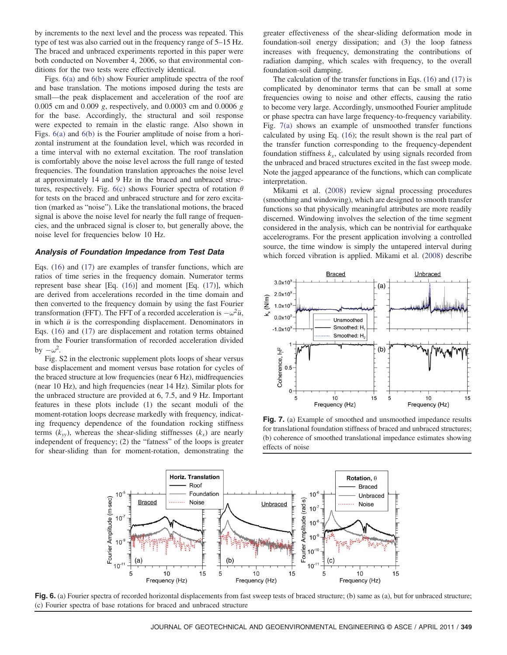by increments to the next level and the process was repeated. This type of test was also carried out in the frequency range of 5–15 Hz. The braced and unbraced experiments reported in this paper were both conducted on November 4, 2006, so that environmental conditions for the two tests were effectively identical.

Figs. [6\(a\)](#page-5-0) and [6\(b\)](#page-5-0) show Fourier amplitude spectra of the roof and base translation. The motions imposed during the tests are small—the peak displacement and acceleration of the roof are 0.005 cm and 0:009 g, respectively, and 0.0003 cm and 0:0006 g for the base. Accordingly, the structural and soil response were expected to remain in the elastic range. Also shown in Figs. [6\(a\)](#page-5-0) and [6\(b\)](#page-5-0) is the Fourier amplitude of noise from a horizontal instrument at the foundation level, which was recorded in a time interval with no external excitation. The roof translation is comfortably above the noise level across the full range of tested frequencies. The foundation translation approaches the noise level at approximately 14 and 9 Hz in the braced and unbraced struc-tures, respectively. Fig. [6\(c\)](#page-5-0) shows Fourier spectra of rotation  $\theta$ for tests on the braced and unbraced structure and for zero excitation (marked as "noise"). Like the translational motions, the braced signal is above the noise level for nearly the full range of frequencies, and the unbraced signal is closer to, but generally above, the noise level for frequencies below 10 Hz.

#### Analysis of Foundation Impedance from Test Data

Eqs. [\(16\)](#page-4-4) and ([17](#page-4-5)) are examples of transfer functions, which are ratios of time series in the frequency domain. Numerator terms represent base shear [Eq. ([16](#page-4-4))] and moment [Eq. [\(17\)](#page-4-5)], which are derived from accelerations recorded in the time domain and then converted to the frequency domain by using the fast Fourier transformation (FFT). The FFT of a recorded acceleration is  $-\omega^2 \bar{u}$ , in which  $\bar{u}$  is the corresponding displacement. Denominators in Eqs. [\(16\)](#page-4-4) and [\(17\)](#page-4-5) are displacement and rotation terms obtained from the Fourier transformation of recorded acceleration divided by  $-\omega^2$ .

Fig. S2 in the electronic supplement plots loops of shear versus base displacement and moment versus base rotation for cycles of the braced structure at low frequencies (near 6 Hz), midfrequencies (near 10 Hz), and high frequencies (near 14 Hz). Similar plots for the unbraced structure are provided at 6, 7.5, and 9 Hz. Important features in these plots include (1) the secant moduli of the moment-rotation loops decrease markedly with frequency, indicating frequency dependence of the foundation rocking stiffness terms  $(k_y)$ , whereas the shear-sliding stiffnesses  $(k_x)$  are nearly independent of frequency; (2) the "fatness" of the loops is greater for shear-sliding than for moment-rotation, demonstrating the

greater effectiveness of the shear-sliding deformation mode in foundation-soil energy dissipation; and (3) the loop fatness increases with frequency, demonstrating the contributions of radiation damping, which scales with frequency, to the overall foundation-soil damping.

The calculation of the transfer functions in Eqs. ([16](#page-4-4)) and ([17](#page-4-5)) is complicated by denominator terms that can be small at some frequencies owing to noise and other effects, causing the ratio to become very large. Accordingly, unsmoothed Fourier amplitude or phase spectra can have large frequency-to-frequency variability. Fig. [7\(a\)](#page-5-1) shows an example of unsmoothed transfer functions calculated by using Eq. [\(16\)](#page-4-4); the result shown is the real part of the transfer function corresponding to the frequency-dependent foundation stiffness  $k_x$ , calculated by using signals recorded from the unbraced and braced structures excited in the fast sweep mode. Note the jagged appearance of the functions, which can complicate interpretation.

Mikami et al. ([2008\)](#page-9-16) review signal processing procedures (smoothing and windowing), which are designed to smooth transfer functions so that physically meaningful attributes are more readily discerned. Windowing involves the selection of the time segment considered in the analysis, which can be nontrivial for earthquake accelerograms. For the present application involving a controlled source, the time window is simply the untapered interval during which forced vibration is applied. Mikami et al. [\(2008](#page-9-16)) describe

<span id="page-5-1"></span>

Fig. 7. (a) Example of smoothed and unsmoothed impedance results for translational foundation stiffness of braced and unbraced structures; (b) coherence of smoothed translational impedance estimates showing effects of noise

<span id="page-5-0"></span>

Fig. 6. (a) Fourier spectra of recorded horizontal displacements from fast sweep tests of braced structure; (b) same as (a), but for unbraced structure; (c) Fourier spectra of base rotations for braced and unbraced structure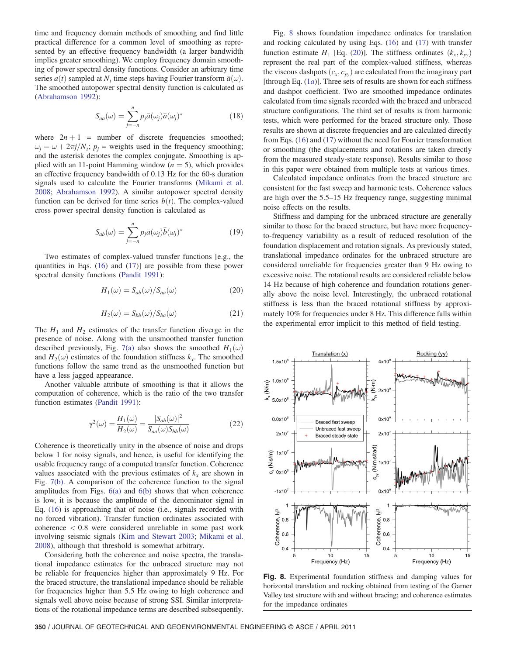time and frequency domain methods of smoothing and find little practical difference for a common level of smoothing as represented by an effective frequency bandwidth (a larger bandwidth implies greater smoothing). We employ frequency domain smoothing of power spectral density functions. Consider an arbitrary time series  $a(t)$  sampled at N<sub>t</sub> time steps having Fourier transform  $\bar{a}(\omega)$ . The smoothed autopower spectral density function is calculated as [\(Abrahamson 1992\)](#page-8-12):

$$
S_{aa}(\omega) = \sum_{j=-n}^{n} p_j \bar{a}(\omega_j) \bar{a}(\omega_j)^*
$$
\n(18)

where  $2n + 1$  = number of discrete frequencies smoothed;  $\omega_i = \omega + 2\pi j/N_i$ ;  $p_i$  = weights used in the frequency smoothing; and the asterisk denotes the complex conjugate. Smoothing is applied with an 11-point Hamming window  $(n = 5)$ , which provides an effective frequency bandwidth of 0.13 Hz for the 60-s duration signals used to calculate the Fourier transforms [\(Mikami et al.](#page-9-16) [2008](#page-9-16); [Abrahamson 1992](#page-8-12)). A similar autopower spectral density function can be derived for time series  $b(t)$ . The complex-valued cross power spectral density function is calculated as

$$
S_{ab}(\omega) = \sum_{j=-n}^{n} p_j \bar{a}(\omega_j) \bar{b}(\omega_j)^*
$$
 (19)

<span id="page-6-1"></span>Two estimates of complex-valued transfer functions [e.g., the quantities in Eqs. ([16](#page-4-4)) and ([17\)](#page-4-5)] are possible from these power spectral density functions ([Pandit 1991\)](#page-9-17):

$$
H_1(\omega) = S_{ab}(\omega) / S_{aa}(\omega)
$$
\n(20)

$$
H_2(\omega) = S_{bb}(\omega) / S_{ba}(\omega)
$$
 (21)

The  $H_1$  and  $H_2$  estimates of the transfer function diverge in the presence of noise. Along with the unsmoothed transfer function described previously, Fig. [7\(a\)](#page-5-1) also shows the smoothed  $H_1(\omega)$ and  $H_2(\omega)$  estimates of the foundation stiffness  $k_x$ . The smoothed functions follow the same trend as the unsmoothed function but have a less jagged appearance.

Another valuable attribute of smoothing is that it allows the computation of coherence, which is the ratio of the two transfer function estimates [\(Pandit 1991](#page-9-17)):

$$
\gamma^2(\omega) = \frac{H_1(\omega)}{H_2(\omega)} = \frac{|S_{ab}(\omega)|^2}{S_{aa}(\omega)S_{bb}(\omega)}\tag{22}
$$

Coherence is theoretically unity in the absence of noise and drops below 1 for noisy signals, and hence, is useful for identifying the usable frequency range of a computed transfer function. Coherence values associated with the previous estimates of  $k<sub>x</sub>$  are shown in Fig. [7\(b\)](#page-5-1). A comparison of the coherence function to the signal amplitudes from Figs. [6\(a\)](#page-5-0) and [6\(b\)](#page-5-0) shows that when coherence is low, it is because the amplitude of the denominator signal in Eq. ([16](#page-4-4)) is approaching that of noise (i.e., signals recorded with no forced vibration). Transfer function ordinates associated with  $coherence < 0.8$  were considered unreliable in some past work involving seismic signals [\(Kim and Stewart 2003;](#page-9-18) [Mikami et al.](#page-9-16) [2008](#page-9-16)), although that threshold is somewhat arbitrary.

Considering both the coherence and noise spectra, the translational impedance estimates for the unbraced structure may not be reliable for frequencies higher than approximately 9 Hz. For the braced structure, the translational impedance should be reliable for frequencies higher than 5.5 Hz owing to high coherence and signals well above noise because of strong SSI. Similar interpretations of the rotational impedance terms are described subsequently.

Fig. [8](#page-6-0) shows foundation impedance ordinates for translation and rocking calculated by using Eqs. ([16](#page-4-4)) and [\(17\)](#page-4-5) with transfer function estimate  $H_1$  [Eq. [\(20\)](#page-6-1)]. The stiffness ordinates  $(k_x, k_y)$ represent the real part of the complex-valued stiffness, whereas the viscous dashpots  $(c_x, c_y)$  are calculated from the imaginary part [through Eq.  $(1a)$  $(1a)$ ]. Three sets of results are shown for each stiffness and dashpot coefficient. Two are smoothed impedance ordinates calculated from time signals recorded with the braced and unbraced structure configurations. The third set of results is from harmonic tests, which were performed for the braced structure only. Those results are shown at discrete frequencies and are calculated directly from Eqs. ([16](#page-4-4)) and [\(17\)](#page-4-5) without the need for Fourier transformation or smoothing (the displacements and rotations are taken directly from the measured steady-state response). Results similar to those in this paper were obtained from multiple tests at various times.

Calculated impedance ordinates from the braced structure are consistent for the fast sweep and harmonic tests. Coherence values are high over the 5.5–15 Hz frequency range, suggesting minimal noise effects on the results.

Stiffness and damping for the unbraced structure are generally similar to those for the braced structure, but have more frequencyto-frequency variability as a result of reduced resolution of the foundation displacement and rotation signals. As previously stated, translational impedance ordinates for the unbraced structure are considered unreliable for frequencies greater than 9 Hz owing to excessive noise. The rotational results are considered reliable below 14 Hz because of high coherence and foundation rotations generally above the noise level. Interestingly, the unbraced rotational stiffness is less than the braced rotational stiffness by approximately 10% for frequencies under 8 Hz. This difference falls within the experimental error implicit to this method of field testing.

<span id="page-6-0"></span>

Fig. 8. Experimental foundation stiffness and damping values for horizontal translation and rocking obtained from testing of the Garner Valley test structure with and without bracing; and coherence estimates for the impedance ordinates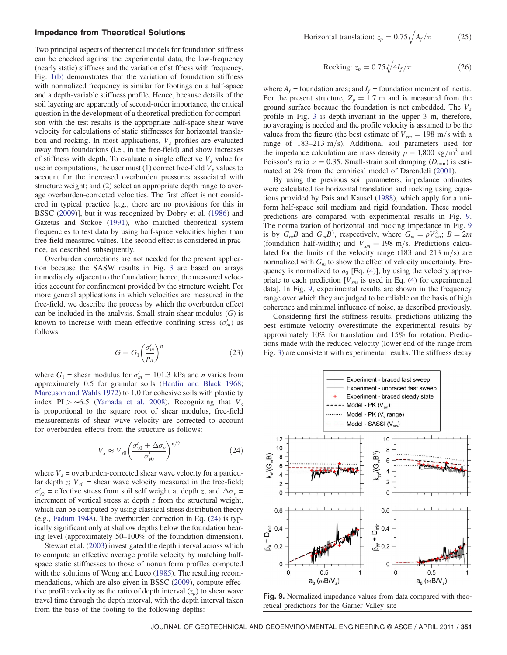#### Impedance from Theoretical Solutions

Two principal aspects of theoretical models for foundation stiffness can be checked against the experimental data, the low-frequency (nearly static) stiffness and the variation of stiffness with frequency. Fig. [1\(b\)](#page-1-0) demonstrates that the variation of foundation stiffness with normalized frequency is similar for footings on a half-space and a depth-variable stiffness profile. Hence, because details of the soil layering are apparently of second-order importance, the critical question in the development of a theoretical prediction for comparison with the test results is the appropriate half-space shear wave velocity for calculations of static stiffnesses for horizontal translation and rocking. In most applications,  $V<sub>s</sub>$  profiles are evaluated away from foundations (i.e., in the free-field) and show increases of stiffness with depth. To evaluate a single effective  $V<sub>s</sub>$  value for use in computations, the user must  $(1)$  correct free-field  $V<sub>s</sub>$  values to account for the increased overburden pressures associated with structure weight; and (2) select an appropriate depth range to average overburden-corrected velocities. The first effect is not considered in typical practice [e.g., there are no provisions for this in BSSC ([2009\)](#page-8-3)], but it was recognized by Dobry et al. ([1986\)](#page-8-6) and Gazetas and Stokoe [\(1991](#page-9-19)), who matched theoretical system frequencies to test data by using half-space velocities higher than free-field measured values. The second effect is considered in practice, as described subsequently.

Overburden corrections are not needed for the present application because the SASW results in Fig. [3](#page-2-1) are based on arrays immediately adjacent to the foundation; hence, the measured velocities account for confinement provided by the structure weight. For more general applications in which velocities are measured in the free-field, we describe the process by which the overburden effect can be included in the analysis. Small-strain shear modulus  $(G)$  is known to increase with mean effective confining stress  $(\sigma'_m)$  as follows:

$$
G = G_1 \left(\frac{\sigma_m'}{p_a}\right)^n \tag{23}
$$

where  $G_1$  = shear modulus for  $\sigma'_m = 101.3$  kPa and *n* varies from approximately 0.5 for granular soils ([Hardin and Black 1968](#page-9-20); [Marcuson and Wahls 1972](#page-9-21)) to 1.0 for cohesive soils with plasticity index PI > ∼6.5 ([Yamada et al. 2008\)](#page-9-22). Recognizing that  $V_s$ is proportional to the square root of shear modulus, free-field measurements of shear wave velocity are corrected to account for overburden effects from the structure as follows:

$$
V_s \approx V_{s0} \left(\frac{\sigma'_{v0} + \Delta \sigma_v}{\sigma'_{v0}}\right)^{n/2} \tag{24}
$$

<span id="page-7-0"></span>where  $V_s$  = overburden-corrected shear wave velocity for a particular depth z;  $V_{s0}$  = shear wave velocity measured in the free-field;  $\sigma'_{v0}$  = effective stress from soil self weight at depth z; and  $\Delta \sigma_v$  = increment of vertical stress at depth  $z$  from the structural weight, which can be computed by using classical stress distribution theory (e.g., [Fadum 1948](#page-8-13)). The overburden correction in Eq. [\(24\)](#page-7-0) is typically significant only at shallow depths below the foundation bearing level (approximately 50–100% of the foundation dimension).

Stewart et al. [\(2003](#page-9-5)) investigated the depth interval across which to compute an effective average profile velocity by matching halfspace static stiffnesses to those of nonuniform profiles computed with the solutions of Wong and Luco [\(1985](#page-9-23)). The resulting recommendations, which are also given in BSSC [\(2009](#page-8-3)), compute effective profile velocity as the ratio of depth interval  $(z_p)$  to shear wave travel time through the depth interval, with the depth interval taken from the base of the footing to the following depths:

Horizontal translation: 
$$
z_p = 0.75 \sqrt{A_f/\pi}
$$
 (25)

$$
Rocking: z_p = 0.75 \sqrt[4]{4I_f/\pi}
$$
 (26)

where  $A_f$  = foundation area; and  $I_f$  = foundation moment of inertia. For the present structure,  $Z_p = 1.7$  m and is measured from the ground surface because the foundation is not embedded. The  $V_s$ profile in Fig. [3](#page-2-1) is depth-invariant in the upper 3 m, therefore, no averaging is needed and the profile velocity is assumed to be the values from the figure (the best estimate of  $V_{\text{sm}} = 198 \text{ m/s}$  with a range of  $183-213$  m/s). Additional soil parameters used for the impedance calculation are mass density  $\rho = 1,800 \text{ kg/m}^3$  and Poisson's ratio  $\nu = 0.35$ . Small-strain soil damping  $(D_{\min})$  is estimated at 2% from the empirical model of Darendeli ([2001\)](#page-8-14).

By using the previous soil parameters, impedance ordinates were calculated for horizontal translation and rocking using equations provided by Pais and Kausel [\(1988](#page-9-4)), which apply for a uniform half-space soil medium and rigid foundation. These model predictions are compared with experimental results in Fig. [9.](#page-7-1) The normalization of horizontal and rocking impedance in Fig. [9](#page-7-1) is by  $G_m B$  and  $G_m B^3$ , respectively, where  $G_m = \rho V_{sm}^2$ ;  $B = 2m$ (foundation half-width); and  $V_{sm} = 198$  m/s. Predictions calculated for the limits of the velocity range (183 and 213 m/s) are normalized with  $G_m$  to show the effect of velocity uncertainty. Frequency is normalized to  $a_0$  [Eq. [\(4\)](#page-1-3)], by using the velocity appropriate to each prediction  $[V_{sm}$  is used in Eq. ([4\)](#page-1-3) for experimental data]. In Fig. [9](#page-7-1), experimental results are shown in the frequency range over which they are judged to be reliable on the basis of high coherence and minimal influence of noise, as described previously.

Considering first the stiffness results, predictions utilizing the best estimate velocity overestimate the experimental results by approximately 10% for translation and 15% for rotation. Predictions made with the reduced velocity (lower end of the range from Fig. [3\)](#page-2-1) are consistent with experimental results. The stiffness decay

<span id="page-7-1"></span>

Fig. 9. Normalized impedance values from data compared with theoretical predictions for the Garner Valley site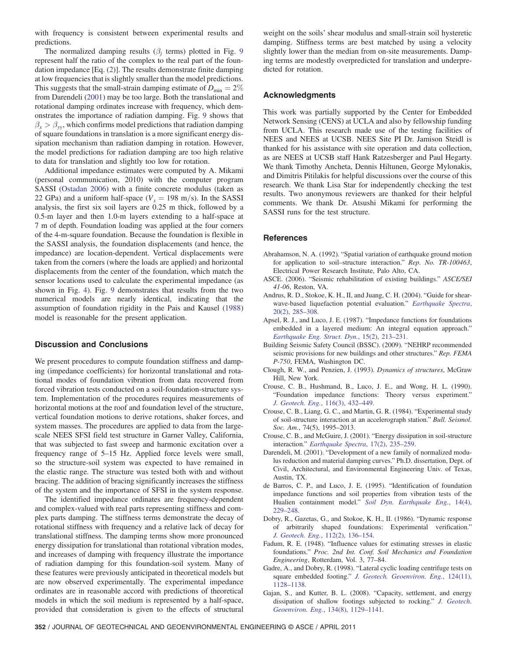with frequency is consistent between experimental results and predictions.

The normalized damping results ( $\beta_i$  terms) plotted in Fig. [9](#page-7-1) represent half the ratio of the complex to the real part of the foundation impedance [Eq. ([2\)](#page-0-1)]. The results demonstrate finite damping at low frequencies that is slightly smaller than the model predictions. This suggests that the small-strain damping estimate of  $D_{\min} = 2\%$ from Darendeli [\(2001](#page-8-14)) may be too large. Both the translational and rotational damping ordinates increase with frequency, which demonstrates the importance of radiation damping. Fig. [9](#page-7-1) shows that  $\beta_x > \beta_y$ , which confirms model predictions that radiation damping of square foundations in translation is a more significant energy dissipation mechanism than radiation damping in rotation. However, the model predictions for radiation damping are too high relative to data for translation and slightly too low for rotation.

Additional impedance estimates were computed by A. Mikami (personal communication, 2010) with the computer program SASSI ([Ostadan 2006](#page-9-24)) with a finite concrete modulus (taken as 22 GPa) and a uniform half-space ( $V_s = 198$  m/s). In the SASSI analysis, the first six soil layers are 0.25 m thick, followed by a 0.5-m layer and then 1.0-m layers extending to a half-space at 7 m of depth. Foundation loading was applied at the four corners of the 4-m-square foundation. Because the foundation is flexible in the SASSI analysis, the foundation displacements (and hence, the impedance) are location-dependent. Vertical displacements were taken from the corners (where the loads are applied) and horizontal displacements from the center of the foundation, which match the sensor locations used to calculate the experimental impedance (as shown in Fig. [4](#page-3-0)). Fig. [9](#page-7-1) demonstrates that results from the two numerical models are nearly identical, indicating that the assumption of foundation rigidity in the Pais and Kausel ([1988\)](#page-9-4) model is reasonable for the present application.

### Discussion and Conclusions

We present procedures to compute foundation stiffness and damping (impedance coefficients) for horizontal translational and rotational modes of foundation vibration from data recovered from forced vibration tests conducted on a soil-foundation-structure system. Implementation of the procedures requires measurements of horizontal motions at the roof and foundation level of the structure, vertical foundation motions to derive rotations, shaker forces, and system masses. The procedures are applied to data from the largescale NEES SFSI field test structure in Garner Valley, California, that was subjected to fast sweep and harmonic excitation over a frequency range of 5–15 Hz. Applied force levels were small, so the structure-soil system was expected to have remained in the elastic range. The structure was tested both with and without bracing. The addition of bracing significantly increases the stiffness of the system and the importance of SFSI in the system response.

The identified impedance ordinates are frequency-dependent and complex-valued with real parts representing stiffness and complex parts damping. The stiffness terms demonstrate the decay of rotational stiffness with frequency and a relative lack of decay for translational stiffness. The damping terms show more pronounced energy dissipation for translational than rotational vibration modes, and increases of damping with frequency illustrate the importance of radiation damping for this foundation-soil system. Many of these features were previously anticipated in theoretical models but are now observed experimentally. The experimental impedance ordinates are in reasonable accord with predictions of theoretical models in which the soil medium is represented by a half-space, provided that consideration is given to the effects of structural

weight on the soils' shear modulus and small-strain soil hysteretic damping. Stiffness terms are best matched by using a velocity slightly lower than the median from on-site measurements. Damping terms are modestly overpredicted for translation and underpredicted for rotation.

#### Acknowledgments

This work was partially supported by the Center for Embedded Network Sensing (CENS) at UCLA and also by fellowship funding from UCLA. This research made use of the testing facilities of NEES and NEES at UCSB. NEES Site PI Dr. Jamison Steidl is thanked for his assistance with site operation and data collection, as are NEES at UCSB staff Hank Ratzesberger and Paul Hegarty. We thank Timothy Ancheta, Dennis Hiltunen, George Mylonakis, and Dimitris Pitilakis for helpful discussions over the course of this research. We thank Lisa Star for independently checking the test results. Two anonymous reviewers are thanked for their helpful comments. We thank Dr. Atsushi Mikami for performing the SASSI runs for the test structure.

#### **References**

- <span id="page-8-12"></span>Abrahamson, N. A. (1992). "Spatial variation of earthquake ground motion for application to soil–structure interaction." Rep. No. TR-100463, Electrical Power Research Institute, Palo Alto, CA.
- <span id="page-8-2"></span>ASCE. (2006). "Seismic rehabilitation of existing buildings." ASCE/SEI 41-06, Reston, VA.
- <span id="page-8-9"></span>Andrus, R. D., Stokoe, K. H., II, and Juang, C. H. (2004). "Guide for shear-wave-based liquefaction potential evaluation." [Earthquake Spectra](http://dx.doi.org/10.1193/1.1715106), [20\(2\), 285](http://dx.doi.org/10.1193/1.1715106)–308.
- <span id="page-8-0"></span>Apsel, R. J., and Luco, J. E. (1987). "Impedance functions for foundations embedded in a layered medium: An integral equation approach." [Earthquake Eng. Struct. Dyn.](http://dx.doi.org/10.1002/eqe.4290150205), 15(2), 213–231.
- <span id="page-8-3"></span>Building Seismic Safety Council (BSSC). (2009). "NEHRP recommended seismic provisions for new buildings and other structures." Rep. FEMA P-750, FEMA, Washington DC.
- <span id="page-8-1"></span>Clough, R. W., and Penzien, J. (1993). Dynamics of structures, McGraw Hill, New York.
- <span id="page-8-4"></span>Crouse, C. B., Hushmand, B., Luco, J. E., and Wong, H. L. (1990). "Foundation impedance functions: Theory versus experiment." [J. Geotech. Eng.](http://dx.doi.org/10.1061/(ASCE)0733-9410(1990)116:3(432)), 116(3), 432–449.
- <span id="page-8-11"></span>Crouse, C. B., Liang, G. C., and Martin, G. R. (1984). "Experimental study of soil-structure interaction at an accelerograph station." Bull. Seismol. Soc. Am., 74(5), 1995-2013.
- <span id="page-8-10"></span>Crouse, C. B., and McGuire, J. (2001). "Energy dissipation in soil-structure interaction." [Earthquake Spectra](http://dx.doi.org/10.1193/1.1586174), 17(2), 235–259.
- <span id="page-8-14"></span>Darendeli, M. (2001). "Development of a new family of normalized modulus reduction and material damping curves." Ph.D. dissertation, Dept. of Civil, Architectural, and Environmental Engineering Univ. of Texas, Austin, TX.
- <span id="page-8-5"></span>de Barros, C. P., and Luco, J. E. (1995). "Identification of foundation impedance functions and soil properties from vibration tests of the Hualien containment model." [Soil Dyn. Earthquake Eng.](http://dx.doi.org/10.1016/0267-7261(94)00046-J), 14(4), 229–[248.](http://dx.doi.org/10.1016/0267-7261(94)00046-J)
- <span id="page-8-6"></span>Dobry, R., Gazetas, G., and Stokoe, K. H., II. (1986). "Dynamic response of arbitrarily shaped foundations: Experimental verification." [J. Geotech. Eng.](http://dx.doi.org/10.1061/(ASCE)0733-9410(1986)112:2(136)), 112(2), 136–154.
- <span id="page-8-13"></span>Fadum, R. E. (1948). "Influence values for estimating stresses in elastic foundations." Proc. 2nd Int. Conf. Soil Mechanics and Foundation Engineering, Rotterdam, Vol. 3, 77–84.
- <span id="page-8-7"></span>Gadre, A., and Dobry, R. (1998). "Lateral cyclic loading centrifuge tests on square embedded footing." [J. Geotech. Geoenviron. Eng.](http://dx.doi.org/10.1061/(ASCE)1090-0241(1998)124:11(1128)), 124(11), [1128](http://dx.doi.org/10.1061/(ASCE)1090-0241(1998)124:11(1128))–1138.
- <span id="page-8-8"></span>Gajan, S., and Kutter, B. L. (2008). "Capacity, settlement, and energy dissipation of shallow footings subjected to rocking." [J. Geotech.](http://dx.doi.org/10.1061/(ASCE)1090-0241(2008)134:8(1129)) [Geoenviron. Eng.](http://dx.doi.org/10.1061/(ASCE)1090-0241(2008)134:8(1129)), 134(8), 1129–1141.